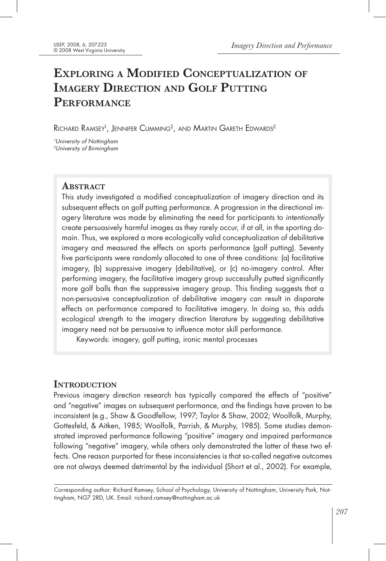# **EXPLORING A MODIFIED CONCEPTUALIZATION OF IMAGERY DIRECTION AND GOLF PUTTING PERFORMANCE**

 $\,$ Richard  $\,$ Ramsey $^{\rm l}$ , Jennifer Cumming $^{\rm 2}$ , and Martin Gareth Edwards $^{\rm 2}$ 

1 University of Nottingham 2University of Birmingham

# **ABSTRACT**

This study investigated a modified conceptualization of imagery direction and its subsequent effects on golf putting performance. A progression in the directional imagery literature was made by eliminating the need for participants to intentionally create persuasively harmful images as they rarely occur, if at all, in the sporting domain. Thus, we explored a more ecologically valid conceptualization of debilitative imagery and measured the effects on sports performance (golf putting). Seventy five participants were randomly allocated to one of three conditions: (a) facilitative imagery, (b) suppressive imagery (debilitative), or (c) no-imagery control. After performing imagery, the facilitative imagery group successfully putted significantly more golf balls than the suppressive imagery group. This finding suggests that a non-persuasive conceptualization of debilitative imagery can result in disparate effects on performance compared to facilitative imagery. In doing so, this adds ecological strength to the imagery direction literature by suggesting debilitative imagery need not be persuasive to influence motor skill performance.

Keywords: imagery, golf putting, ironic mental processes

# **INTRODUCTION**

Previous imagery direction research has typically compared the effects of "positive" and "negative" images on subsequent performance, and the findings have proven to be inconsistent (e.g., Shaw & Goodfellow, 1997; Taylor & Shaw, 2002; Woolfolk, Murphy, Gottesfeld, & Aitken, 1985; Woolfolk, Parrish, & Murphy, 1985). Some studies demonstrated improved performance following "positive" imagery and impaired performance following "negative" imagery, while others only demonstrated the latter of these two effects. One reason purported for these inconsistencies is that so-called negative outcomes are not always deemed detrimental by the individual (Short et al., 2002). For example,

Corresponding author: Richard Ramsey, School of Psychology, University of Nottingham, University Park, Nottingham, NG7 2RD, UK. Email: richard.ramsey@nottingham.ac.uk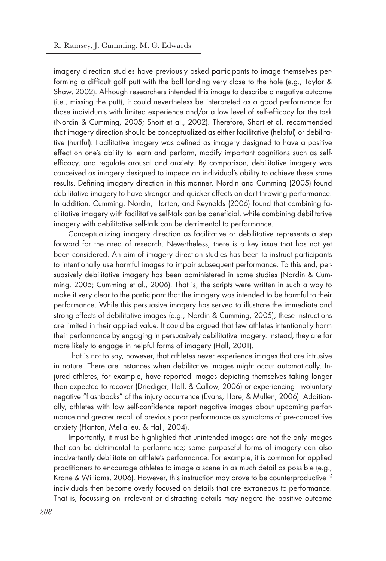imagery direction studies have previously asked participants to image themselves performing a difficult golf putt with the ball landing very close to the hole (e.g., Taylor & Shaw, 2002). Although researchers intended this image to describe a negative outcome (i.e., missing the putt), it could nevertheless be interpreted as a good performance for those individuals with limited experience and/or a low level of self-efficacy for the task (Nordin & Cumming, 2005; Short et al., 2002). Therefore, Short et al. recommended that imagery direction should be conceptualized as either facilitative (helpful) or debilitative (hurtful). Facilitative imagery was defined as imagery designed to have a positive effect on one's ability to learn and perform, modify important cognitions such as selfefficacy, and regulate arousal and anxiety. By comparison, debilitative imagery was conceived as imagery designed to impede an individual's ability to achieve these same results. Defining imagery direction in this manner, Nordin and Cumming (2005) found debilitative imagery to have stronger and quicker effects on dart throwing performance. In addition, Cumming, Nordin, Horton, and Reynolds (2006) found that combining facilitative imagery with facilitative self-talk can be beneficial, while combining debilitative imagery with debilitative self-talk can be detrimental to performance.

Conceptualizing imagery direction as facilitative or debilitative represents a step forward for the area of research. Nevertheless, there is a key issue that has not yet been considered. An aim of imagery direction studies has been to instruct participants to intentionally use harmful images to impair subsequent performance. To this end, persuasively debilitative imagery has been administered in some studies (Nordin & Cumming, 2005; Cumming et al., 2006). That is, the scripts were written in such a way to make it very clear to the participant that the imagery was intended to be harmful to their performance. While this persuasive imagery has served to illustrate the immediate and strong effects of debilitative images (e.g., Nordin & Cumming, 2005), these instructions are limited in their applied value. It could be argued that few athletes intentionally harm their performance by engaging in persuasively debilitative imagery. Instead, they are far more likely to engage in helpful forms of imagery (Hall, 2001).

That is not to say, however, that athletes never experience images that are intrusive in nature. There are instances when debilitative images might occur automatically. Injured athletes, for example, have reported images depicting themselves taking longer than expected to recover (Driediger, Hall, & Callow, 2006) or experiencing involuntary negative "flashbacks" of the injury occurrence (Evans, Hare, & Mullen, 2006). Additionally, athletes with low self-confidence report negative images about upcoming performance and greater recall of previous poor performance as symptoms of pre-competitive anxiety (Hanton, Mellalieu, & Hall, 2004).

Importantly, it must be highlighted that unintended images are not the only images that can be detrimental to performance; some purposeful forms of imagery can also inadvertently debilitate an athlete's performance. For example, it is common for applied practitioners to encourage athletes to image a scene in as much detail as possible (e.g., Krane & Williams, 2006). However, this instruction may prove to be counterproductive if individuals then become overly focused on details that are extraneous to performance. That is, focussing on irrelevant or distracting details may negate the positive outcome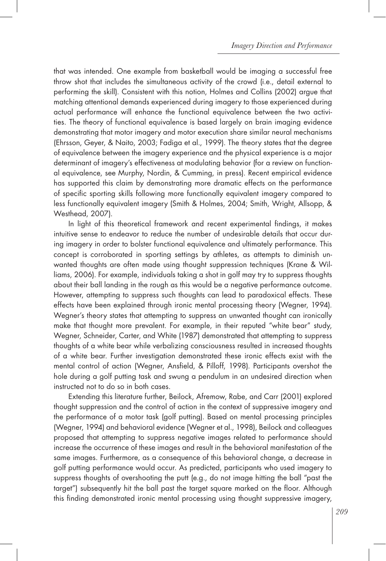that was intended. One example from basketball would be imaging a successful free throw shot that includes the simultaneous activity of the crowd (i.e., detail external to performing the skill). Consistent with this notion, Holmes and Collins (2002) argue that matching attentional demands experienced during imagery to those experienced during actual performance will enhance the functional equivalence between the two activities. The theory of functional equivalence is based largely on brain imaging evidence demonstrating that motor imagery and motor execution share similar neural mechanisms (Ehrsson, Geyer, & Naito, 2003; Fadiga et al., 1999). The theory states that the degree of equivalence between the imagery experience and the physical experience is a major determinant of imagery's effectiveness at modulating behavior (for a review on functional equivalence, see Murphy, Nordin, & Cumming, in press). Recent empirical evidence has supported this claim by demonstrating more dramatic effects on the performance of specific sporting skills following more functionally equivalent imagery compared to less functionally equivalent imagery (Smith & Holmes, 2004; Smith, Wright, Allsopp, & Westhead, 2007).

In light of this theoretical framework and recent experimental findings, it makes intuitive sense to endeavor to reduce the number of undesirable details that occur during imagery in order to bolster functional equivalence and ultimately performance. This concept is corroborated in sporting settings by athletes, as attempts to diminish unwanted thoughts are often made using thought suppression techniques (Krane & Williams, 2006). For example, individuals taking a shot in golf may try to suppress thoughts about their ball landing in the rough as this would be a negative performance outcome. However, attempting to suppress such thoughts can lead to paradoxical effects. These effects have been explained through ironic mental processing theory (Wegner, 1994). Wegner's theory states that attempting to suppress an unwanted thought can ironically make that thought more prevalent. For example, in their reputed "white bear" study, Wegner, Schneider, Carter, and White (1987) demonstrated that attempting to suppress thoughts of a white bear while verbalizing consciousness resulted in increased thoughts of a white bear. Further investigation demonstrated these ironic effects exist with the mental control of action (Wegner, Ansfield, & Pilloff, 1998). Participants overshot the hole during a golf putting task and swung a pendulum in an undesired direction when instructed not to do so in both cases.

Extending this literature further, Beilock, Afremow, Rabe, and Carr (2001) explored thought suppression and the control of action in the context of suppressive imagery and the performance of a motor task (golf putting). Based on mental processing principles (Wegner, 1994) and behavioral evidence (Wegner et al., 1998), Beilock and colleagues proposed that attempting to suppress negative images related to performance should increase the occurrence of these images and result in the behavioral manifestation of the same images. Furthermore, as a consequence of this behavioral change, a decrease in golf putting performance would occur. As predicted, participants who used imagery to suppress thoughts of overshooting the putt (e.g., do not image hitting the ball "past the target") subsequently hit the ball past the target square marked on the floor. Although this finding demonstrated ironic mental processing using thought suppressive imagery,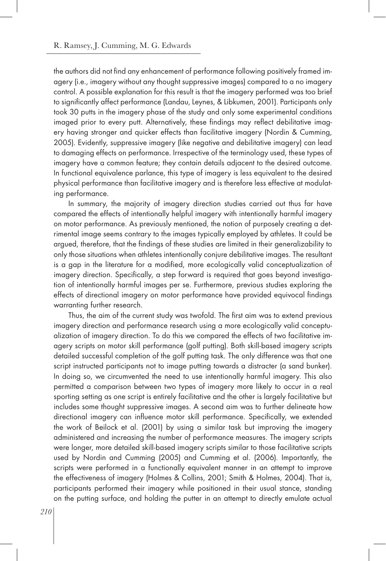the authors did not find any enhancement of performance following positively framed imagery (i.e., imagery without any thought suppressive images) compared to a no imagery control. A possible explanation for this result is that the imagery performed was too brief to significantly affect performance (Landau, Leynes, & Libkumen, 2001). Participants only took 30 putts in the imagery phase of the study and only some experimental conditions imaged prior to every putt. Alternatively, these findings may reflect debilitative imagery having stronger and quicker effects than facilitative imagery (Nordin & Cumming, 2005). Evidently, suppressive imagery (like negative and debilitative imagery) can lead to damaging effects on performance. Irrespective of the terminology used, these types of imagery have a common feature; they contain details adjacent to the desired outcome. In functional equivalence parlance, this type of imagery is less equivalent to the desired physical performance than facilitative imagery and is therefore less effective at modulating performance.

In summary, the majority of imagery direction studies carried out thus far have compared the effects of intentionally helpful imagery with intentionally harmful imagery on motor performance. As previously mentioned, the notion of purposely creating a detrimental image seems contrary to the images typically employed by athletes. It could be argued, therefore, that the findings of these studies are limited in their generalizability to only those situations when athletes intentionally conjure debilitative images. The resultant is a gap in the literature for a modified, more ecologically valid conceptualization of imagery direction. Specifically, a step forward is required that goes beyond investigation of intentionally harmful images per se. Furthermore, previous studies exploring the effects of directional imagery on motor performance have provided equivocal findings warranting further research.

Thus, the aim of the current study was twofold. The first aim was to extend previous imagery direction and performance research using a more ecologically valid conceptualization of imagery direction. To do this we compared the effects of two facilitative imagery scripts on motor skill performance (golf putting). Both skill-based imagery scripts detailed successful completion of the golf putting task. The only difference was that one script instructed participants not to image putting towards a distracter (a sand bunker). In doing so, we circumvented the need to use intentionally harmful imagery. This also permitted a comparison between two types of imagery more likely to occur in a real sporting setting as one script is entirely facilitative and the other is largely facilitative but includes some thought suppressive images. A second aim was to further delineate how directional imagery can influence motor skill performance. Specifically, we extended the work of Beilock et al. (2001) by using a similar task but improving the imagery administered and increasing the number of performance measures. The imagery scripts were longer, more detailed skill-based imagery scripts similar to those facilitative scripts used by Nordin and Cumming (2005) and Cumming et al. (2006). Importantly, the scripts were performed in a functionally equivalent manner in an attempt to improve the effectiveness of imagery (Holmes & Collins, 2001; Smith & Holmes, 2004). That is, participants performed their imagery while positioned in their usual stance, standing on the putting surface, and holding the putter in an attempt to directly emulate actual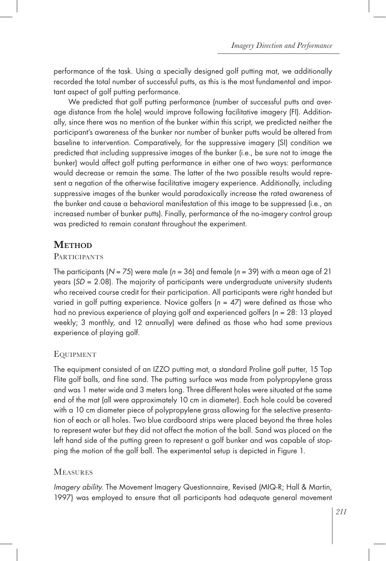performance of the task. Using a specially designed golf putting mat, we additionally recorded the total number of successful putts, as this is the most fundamental and important aspect of golf putting performance.

We predicted that golf putting performance (number of successful putts and average distance from the hole) would improve following facilitative imagery (FI). Additionally, since there was no mention of the bunker within this script, we predicted neither the participant's awareness of the bunker nor number of bunker putts would be altered from baseline to intervention. Comparatively, for the suppressive imagery (SI) condition we predicted that including suppressive images of the bunker (i.e., be sure not to image the bunker) would affect golf putting performance in either one of two ways: performance would decrease or remain the same. The latter of the two possible results would represent a negation of the otherwise facilitative imagery experience. Additionally, including suppressive images of the bunker would paradoxically increase the rated awareness of the bunker and cause a behavioral manifestation of this image to be suppressed (i.e., an increased number of bunker putts). Finally, performance of the no-imagery control group was predicted to remain constant throughout the experiment.

# **METHOD**

### **PARTICIPANTS**

The participants ( $N = 75$ ) were male ( $n = 36$ ) and female ( $n = 39$ ) with a mean age of 21 years  $(SD = 2.08)$ . The majority of participants were undergraduate university students who received course credit for their participation. All participants were right handed but varied in golf putting experience. Novice golfers  $(n = 47)$  were defined as those who had no previous experience of playing golf and experienced golfers (n = 28: 13 played weekly; 3 monthly, and 12 annually) were defined as those who had some previous experience of playing golf.

## EQUIPMENT

The equipment consisted of an IZZO putting mat, a standard Proline golf putter, 15 Top Flite golf balls, and fine sand. The putting surface was made from polypropylene grass and was 1 meter wide and 3 meters long. Three different holes were situated at the same end of the mat (all were approximately 10 cm in diameter). Each hole could be covered with a 10 cm diameter piece of polypropylene grass allowing for the selective presentation of each or all holes. Two blue cardboard strips were placed beyond the three holes to represent water but they did not affect the motion of the ball. Sand was placed on the left hand side of the putting green to represent a golf bunker and was capable of stopping the motion of the golf ball. The experimental setup is depicted in Figure 1.

## **MEASURES**

Imagery ability. The Movement Imagery Questionnaire, Revised (MIQ-R; Hall & Martin, 1997) was employed to ensure that all participants had adequate general movement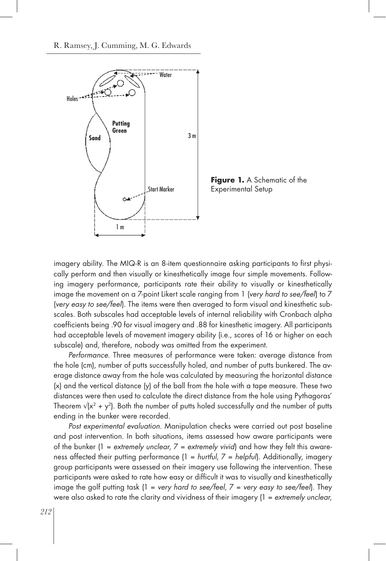

imagery ability. The MIQ-R is an 8-item questionnaire asking participants to first physically perform and then visually or kinesthetically image four simple movements. Following imagery performance, participants rate their ability to visually or kinesthetically image the movement on a 7-point Likert scale ranging from 1 (very hard to see/feel) to 7 (very easy to see/feel). The items were then averaged to form visual and kinesthetic subscales. Both subscales had acceptable levels of internal reliability with Cronbach alpha coefficients being .90 for visual imagery and .88 for kinesthetic imagery. All participants had acceptable levels of movement imagery ability (i.e., scores of 16 or higher on each subscale) and, therefore, nobody was omitted from the experiment.

Performance. Three measures of performance were taken: average distance from the hole (cm), number of putts successfully holed, and number of putts bunkered. The average distance away from the hole was calculated by measuring the horizontal distance (x) and the vertical distance (y) of the ball from the hole with a tape measure. These two distances were then used to calculate the direct distance from the hole using Pythagoras' Theorem  $\sqrt{(x^2 + y^2)}$ . Both the number of putts holed successfully and the number of putts ending in the bunker were recorded.

Post experimental evaluation. Manipulation checks were carried out post baseline and post intervention. In both situations, items assessed how aware participants were of the bunker  $(1 =$  extremely unclear,  $7 =$  extremely vivid) and how they felt this awareness affected their putting performance  $(1 = \text{hurftul}, 7 = \text{helpfu}$ . Additionally, imagery group participants were assessed on their imagery use following the intervention. These participants were asked to rate how easy or difficult it was to visually and kinesthetically image the golf putting task  $(1 = \text{very hard to see/feed}, 7 = \text{very easy to see/feed})$ . They were also asked to rate the clarity and vividness of their imagery  $(1 =$  extremely unclear,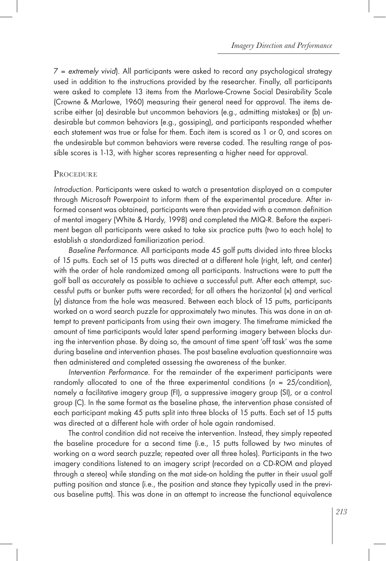7 = extremely vivid). All participants were asked to record any psychological strategy used in addition to the instructions provided by the researcher. Finally, all participants were asked to complete 13 items from the Marlowe-Crowne Social Desirability Scale (Crowne & Marlowe, 1960) measuring their general need for approval. The items describe either (a) desirable but uncommon behaviors (e.g., admitting mistakes) or (b) undesirable but common behaviors (e.g., gossiping), and participants responded whether each statement was true or false for them. Each item is scored as 1 or 0, and scores on the undesirable but common behaviors were reverse coded. The resulting range of possible scores is 1-13, with higher scores representing a higher need for approval.

#### **PROCEDURE**

Introduction. Participants were asked to watch a presentation displayed on a computer through Microsoft Powerpoint to inform them of the experimental procedure. After informed consent was obtained, participants were then provided with a common definition of mental imagery (White & Hardy, 1998) and completed the MIQ-R. Before the experiment began all participants were asked to take six practice putts (two to each hole) to establish a standardized familiarization period.

Baseline Performance. All participants made 45 golf putts divided into three blocks of 15 putts. Each set of 15 putts was directed at a different hole (right, left, and center) with the order of hole randomized among all participants. Instructions were to putt the golf ball as accurately as possible to achieve a successful putt. After each attempt, successful putts or bunker putts were recorded; for all others the horizontal (x) and vertical (y) distance from the hole was measured. Between each block of 15 putts, participants worked on a word search puzzle for approximately two minutes. This was done in an attempt to prevent participants from using their own imagery. The timeframe mimicked the amount of time participants would later spend performing imagery between blocks during the intervention phase. By doing so, the amount of time spent 'off task' was the same during baseline and intervention phases. The post baseline evaluation questionnaire was then administered and completed assessing the awareness of the bunker.

Intervention Performance. For the remainder of the experiment participants were randomly allocated to one of the three experimental conditions ( $n = 25$ /condition), namely a facilitative imagery group (FI), a suppressive imagery group (SI), or a control group (C). In the same format as the baseline phase, the intervention phase consisted of each participant making 45 putts split into three blocks of 15 putts. Each set of 15 putts was directed at a different hole with order of hole again randomised.

The control condition did not receive the intervention. Instead, they simply repeated the baseline procedure for a second time (i.e., 15 putts followed by two minutes of working on a word search puzzle; repeated over all three holes). Participants in the two imagery conditions listened to an imagery script (recorded on a CD-ROM and played through a stereo) while standing on the mat side-on holding the putter in their usual golf putting position and stance (i.e., the position and stance they typically used in the previous baseline putts). This was done in an attempt to increase the functional equivalence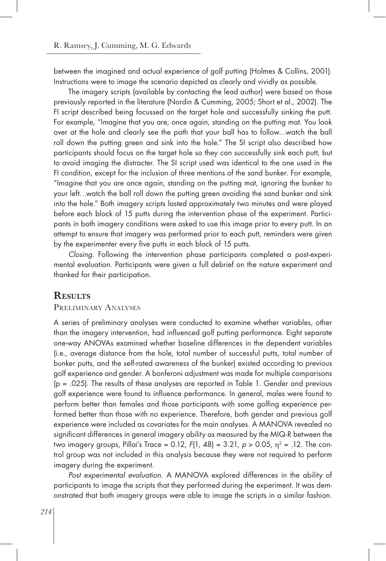between the imagined and actual experience of golf putting (Holmes & Collins, 2001). Instructions were to image the scenario depicted as clearly and vividly as possible.

The imagery scripts (available by contacting the lead author) were based on those previously reported in the literature (Nordin & Cumming, 2005; Short et al., 2002). The FI script described being focussed on the target hole and successfully sinking the putt. For example, "Imagine that you are, once again, standing on the putting mat. You look over at the hole and clearly see the path that your ball has to follow…watch the ball roll down the putting green and sink into the hole." The SI script also described how participants should focus on the target hole so they can successfully sink each putt, but to avoid imaging the distracter. The SI script used was identical to the one used in the FI condition, except for the inclusion of three mentions of the sand bunker. For example, "Imagine that you are once again, standing on the putting mat, ignoring the bunker to your left…watch the ball roll down the putting green avoiding the sand bunker and sink into the hole." Both imagery scripts lasted approximately two minutes and were played before each block of 15 putts during the intervention phase of the experiment. Participants in both imagery conditions were asked to use this image prior to every putt. In an attempt to ensure that imagery was performed prior to each putt, reminders were given by the experimenter every five putts in each block of 15 putts.

Closing. Following the intervention phase participants completed a post-experimental evaluation. Participants were given a full debrief on the nature experiment and thanked for their participation.

## **RESULTS**

#### PRELIMINARY ANALYSES

A series of preliminary analyses were conducted to examine whether variables, other than the imagery intervention, had influenced golf putting performance. Eight separate one-way ANOVAs examined whether baseline differences in the dependent variables (i.e., average distance from the hole, total number of successful putts, total number of bunker putts, and the self-rated awareness of the bunker) existed according to previous golf experience and gender. A bonferoni adjustment was made for multiple comparisons (p = .025). The results of these analyses are reported in Table 1. Gender and previous golf experience were found to influence performance. In general, males were found to perform better than females and those participants with some golfing experience performed better than those with no experience. Therefore, both gender and previous golf experience were included as covariates for the main analyses. A MANOVA revealed no significant differences in general imagery ability as measured by the MIQ-R between the two imagery groups, Pillai's Trace = 0.12,  $F(1, 48) = 3.21$ ,  $p > 0.05$ ,  $p^2 = .12$ . The control group was not included in this analysis because they were not required to perform imagery during the experiment.

Post experimental evaluation. A MANOVA explored differences in the ability of participants to image the scripts that they performed during the experiment. It was demonstrated that both imagery groups were able to image the scripts in a similar fashion.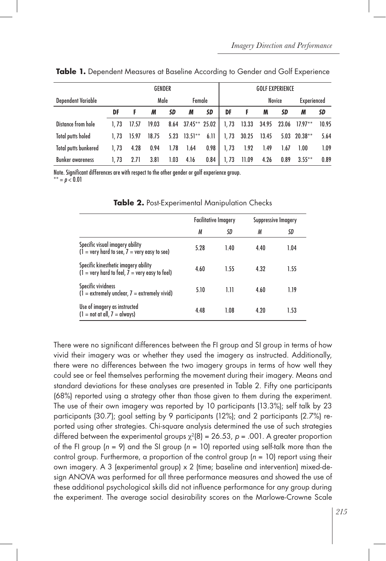|                             |      |                  | <b>GENDER</b> |             |                     |      |       |                  | <b>GOLF EXPERIENCE</b> |        |                                                     |           |
|-----------------------------|------|------------------|---------------|-------------|---------------------|------|-------|------------------|------------------------|--------|-----------------------------------------------------|-----------|
| <b>Dependent Variable</b>   |      |                  | Male          |             | Female              |      |       |                  |                        | Novice | Experienced                                         |           |
|                             | DF   |                  | М             | SD          | М                   | SD   | DF    | F.               | M                      | SD     | М                                                   | <b>SD</b> |
| Distance from hole          |      | $1.73$ 17.57     | 19.03         |             |                     |      |       |                  |                        |        | 8.64 37.45** 25.02   1,73 13.33 34.95 23.06 17.97** | 10.95     |
| <b>Total putts holed</b>    |      | 1,73 15.97 18.75 |               |             | $5.23$ 13.51** 6.11 |      |       | 1,73 30.25 13.45 |                        |        | $5.03$ 20.38**                                      | 5.64      |
| <b>Total putts bunkered</b> | 1,73 | 4.28             | 0.94          | $1.78$ 1.64 |                     | 0.98 | 1,73  | 1.92             | 1.49                   | 1.67   | 1.00                                                | 1.09      |
| <b>Bunker awareness</b>     | 1,73 | 2.71             | 3.81          | 1.03        | 4.16                | 0.84 | 1, 73 | 11.09            | 4.26                   | 0.89   | $3.55***$                                           | 0.89      |

**Table 1.** Dependent Measures at Baseline According to Gender and Golf Experience

Note. Significant differences are with respect to the other gender or golf experience group.

 $*** = p < 0.01$ 

|                                                                                                        |      | <b>Facilitative Imagery</b> | Suppressive Imagery |      |
|--------------------------------------------------------------------------------------------------------|------|-----------------------------|---------------------|------|
|                                                                                                        | М    | SD                          | М                   | SD   |
| Specific visual imagery ability<br>$(1 = \text{very hard to see}, 7 = \text{very easy to see})$        | 5.28 | 1.40                        | 4.40                | 1.04 |
| Specific kinesthetic imagery ability<br>$(1 = \text{very hard to feel}, 7 = \text{very easy to feel})$ | 4.60 | 1.55                        | 4.32                | 1.55 |
| Specific vividness<br>$(1 =$ extremely unclear, $7 =$ extremely vivid)                                 | 5.10 | 1.11                        | 4.60                | 1.19 |
| Use of imagery as instructed<br>$(1 = not at all, 7 = always)$                                         | 4.48 | 1.08                        | 4.20                | 1.53 |

**Table 2.** Post-Experimental Manipulation Checks

There were no significant differences between the FI group and SI group in terms of how vivid their imagery was or whether they used the imagery as instructed. Additionally, there were no differences between the two imagery groups in terms of how well they could see or feel themselves performing the movement during their imagery. Means and standard deviations for these analyses are presented in Table 2. Fifty one participants (68%) reported using a strategy other than those given to them during the experiment. The use of their own imagery was reported by 10 participants (13.3%); self talk by 23 participants (30.7); goal setting by 9 participants (12%); and 2 participants (2.7%) reported using other strategies. Chi-square analysis determined the use of such strategies differed between the experimental groups  $\chi^2(8) = 26.53$ , p = .001. A greater proportion of the FI group ( $n = 9$ ) and the SI group ( $n = 10$ ) reported using self-talk more than the control group. Furthermore, a proportion of the control group  $(n = 10)$  report using their own imagery. A 3 (experimental group) x 2 (time; baseline and intervention) mixed-design ANOVA was performed for all three performance measures and showed the use of these additional psychological skills did not influence performance for any group during the experiment. The average social desirability scores on the Marlowe-Crowne Scale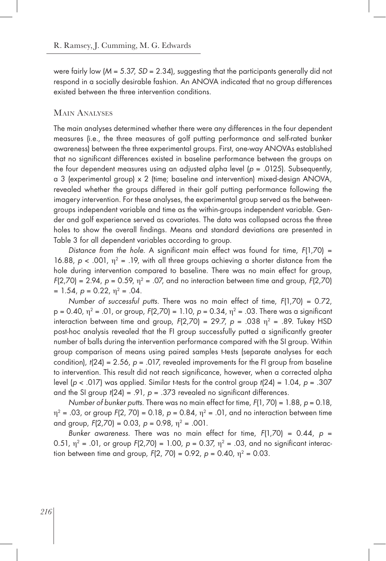were fairly low ( $M = 5.37$ ,  $SD = 2.34$ ), suggesting that the participants generally did not respond in a socially desirable fashion. An ANOVA indicated that no group differences existed between the three intervention conditions.

#### MAIN ANALYSES

The main analyses determined whether there were any differences in the four dependent measures (i.e., the three measures of golf putting performance and self-rated bunker awareness) between the three experimental groups. First, one-way ANOVAs established that no significant differences existed in baseline performance between the groups on the four dependent measures using an adjusted alpha level ( $p = .0125$ ). Subsequently, a 3 (experimental group) x 2 (time; baseline and intervention) mixed-design ANOVA, revealed whether the groups differed in their golf putting performance following the imagery intervention. For these analyses, the experimental group served as the betweengroups independent variable and time as the within-groups independent variable. Gender and golf experience served as covariates. The data was collapsed across the three holes to show the overall findings. Means and standard deviations are presented in Table 3 for all dependent variables according to group.

Distance from the hole. A significant main effect was found for time,  $F(1,70)$  = 16.88,  $p < .001$ ,  $\eta^2 = .19$ , with all three groups achieving a shorter distance from the hole during intervention compared to baseline. There was no main effect for group,  $F(2,70) = 2.94$ ,  $p = 0.59$ ,  $\eta^2 = .07$ , and no interaction between time and group,  $F(2,70)$  $= 1.54$ ,  $p = 0.22$ ,  $\eta^2 = .04$ .

Number of successful putts. There was no main effect of time,  $F(1,70) = 0.72$ ,  $p = 0.40$ ,  $\eta^2 = .01$ , or group,  $F(2,70) = 1.10$ ,  $p = 0.34$ ,  $\eta^2 = .03$ . There was a significant interaction between time and group,  $F(2,70) = 29.7$ ,  $p = .038$   $\eta^2 = .89$ . Tukey HSD post-hoc analysis revealed that the FI group successfully putted a significantly greater number of balls during the intervention performance compared with the SI group. Within group comparison of means using paired samples t-tests (separate analyses for each condition),  $t(24) = 2.56$ ,  $p = .017$ , revealed improvements for the FI group from baseline to intervention. This result did not reach significance, however, when a corrected alpha level ( $p < .017$ ) was applied. Similar t-tests for the control group  $t(24) = 1.04$ ,  $p = .307$ and the SI group  $t(24) = .91$ ,  $p = .373$  revealed no significant differences.

Number of bunker putts. There was no main effect for time,  $F(1, 70) = 1.88$ ,  $p = 0.18$ ,  $\eta^2$  = .03, or group F(2, 70) = 0.18, p = 0.84,  $\eta^2$  = .01, and no interaction between time and group,  $F(2,70) = 0.03$ ,  $p = 0.98$ ,  $\eta^2 = .001$ .

Bunker awareness. There was no main effect for time,  $F(1,70) = 0.44$ ,  $p =$ 0.51,  $\eta^2$  = .01, or group F(2,70) = 1.00,  $p = 0.37$ ,  $\eta^2$  = .03, and no significant interaction between time and group,  $F(2, 70) = 0.92$ ,  $p = 0.40$ ,  $\eta^2 = 0.03$ .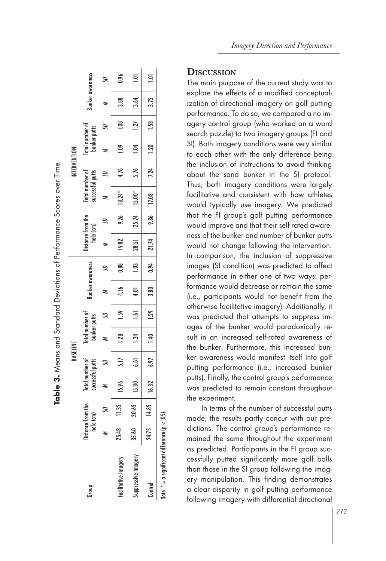|                                                   |       |       |        |        | BASELINE      |              |                         |                          |       |                                |                | <b>INTERVENTION</b> |              |      |                         |                   |
|---------------------------------------------------|-------|-------|--------|--------|---------------|--------------|-------------------------|--------------------------|-------|--------------------------------|----------------|---------------------|--------------|------|-------------------------|-------------------|
| Group                                             | Jišt  |       |        |        |               |              | <b>Bunker awareness</b> |                          |       | Distance from the<br>hole (cm) |                |                     |              |      | <b>Bunker</b> awareness |                   |
|                                                   |       | S     | $\geq$ | ិ<br>ស | M             | $\mathbb{S}$ | $\geq$                  | $\mathfrak{B}$           | ≋     | ີ<br>ລ                         | N              | $\Omega$            | ₹<br>M       | ີ    | $\mathbb{R}$            | $\mathbf{z}$      |
| acilitative Imagery                               | 25.48 | 11.35 | 15.96  | 5.17   | 1.28          | 1.59         | 4.16                    | 0.88                     | 19.82 | 9.26                           | $  18.24*$     | 4.76                | 1.09         | 1.08 | 3.88                    | 0.96              |
| uppressive Imagery                                | 35.6C | 30.65 | 15.80  | 6.61   | $\frac{1}{2}$ | 1.61         | $-4.01$                 | $\overline{\phantom{0}}$ | 28.51 |                                | 25.74   15.00* | 5.76                | $1.04$       | 1.27 | 3.64                    | $\overline{1.01}$ |
| Control                                           |       | 14.85 | 16.32  | 6.97   | 1.40          | 1.29         | 3.80                    | $-16.0$                  | 21.74 | 9.86                           | 17.08          | 7.24                | $1.20$ $\pm$ | 1.58 | 3.75                    | 1.01              |
| ote. $^*$ = a significant difference (p $< .05$ ) |       |       |        |        |               |              |                         |                          |       |                                |                |                     |              |      |                         |                   |

**Table 3.** Means and Standard Deviations of Performance Scores over Time

**Table 3.** Means and Standard Deviations of Performance Scores over Time

## **DISCUSSION**

The main purpose of the current study was to explore the effects of a modified conceptual ization of directional imagery on golf putting performance. To do so, we compared a no im agery control group (who worked on a word search puzzle) to two imagery groups (FI and SI). Both imagery conditions were very similar to each other with the only difference being the inclusion of instructions to avoid thinking about the sand bunker in the SI protocol. Thus, both imagery conditions were largely facilitative and consistent with how athletes would typically use imagery. We predicted that the FI group's golf putting performance would improve and that their self-rated aware ness of the bunker and number of bunker putts would not change following the intervention. In comparison, the inclusion of suppressive images (SI condition) was predicted to affect performance in either one of two ways: performance would decrease or remain the same (i.e., participants would not benefit from the otherwise facilitative imagery). Additionally, it was predicted that attempts to suppress im ages of the bunker would paradoxically re sult in an increased self-rated awareness of the bunker. Furthermore, this increased bun ker awareness would manifest itself into golf putting performance (i.e., increased bunker putts). Finally, the control group's performance was predicted to remain constant throughout the experiment.

In terms of the number of successful putts made, the results partly concur with our pre dictions. The control group's performance re mained the same throughout the experiment as predicted. Participants in the FI group suc cessfully putted significantly more golf balls than those in the SI group following the imag ery manipulation. This finding demonstrates a clear disparity in golf putting performance following imagery with differential directional

*217*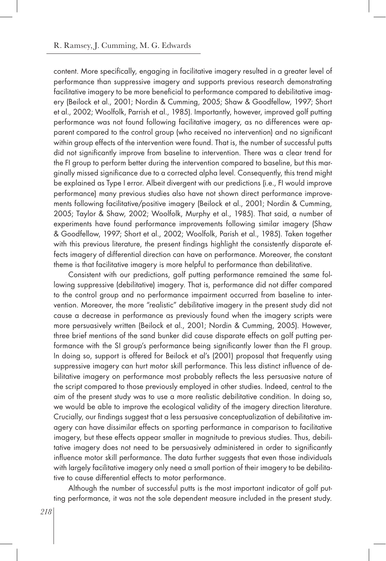content. More specifically, engaging in facilitative imagery resulted in a greater level of performance than suppressive imagery and supports previous research demonstrating facilitative imagery to be more beneficial to performance compared to debilitative imagery (Beilock et al., 2001; Nordin & Cumming, 2005; Shaw & Goodfellow, 1997; Short et al., 2002; Woolfolk, Parrish et al., 1985). Importantly, however, improved golf putting performance was not found following facilitative imagery, as no differences were apparent compared to the control group (who received no intervention) and no significant within group effects of the intervention were found. That is, the number of successful putts did not significantly improve from baseline to intervention. There was a clear trend for the FI group to perform better during the intervention compared to baseline, but this marginally missed significance due to a corrected alpha level. Consequently, this trend might be explained as Type I error. Albeit divergent with our predictions (i.e., FI would improve performance) many previous studies also have not shown direct performance improvements following facilitative/positive imagery (Beilock et al., 2001; Nordin & Cumming, 2005; Taylor & Shaw, 2002; Woolfolk, Murphy et al., 1985). That said, a number of experiments have found performance improvements following similar imagery (Shaw & Goodfellow, 1997; Short et al., 2002; Woolfolk, Parish et al., 1985). Taken together with this previous literature, the present findings highlight the consistently disparate effects imagery of differential direction can have on performance. Moreover, the constant theme is that facilitative imagery is more helpful to performance than debilitative.

Consistent with our predictions, golf putting performance remained the same following suppressive (debilitative) imagery. That is, performance did not differ compared to the control group and no performance impairment occurred from baseline to intervention. Moreover, the more "realistic" debilitative imagery in the present study did not cause a decrease in performance as previously found when the imagery scripts were more persuasively written (Beilock et al., 2001; Nordin & Cumming, 2005). However, three brief mentions of the sand bunker did cause disparate effects on golf putting performance with the SI group's performance being significantly lower than the FI group. In doing so, support is offered for Beilock et al's (2001) proposal that frequently using suppressive imagery can hurt motor skill performance. This less distinct influence of debilitative imagery on performance most probably reflects the less persuasive nature of the script compared to those previously employed in other studies. Indeed, central to the aim of the present study was to use a more realistic debilitative condition. In doing so, we would be able to improve the ecological validity of the imagery direction literature. Crucially, our findings suggest that a less persuasive conceptualization of debilitative imagery can have dissimilar effects on sporting performance in comparison to facilitative imagery, but these effects appear smaller in magnitude to previous studies. Thus, debilitative imagery does not need to be persuasively administered in order to significantly influence motor skill performance. The data further suggests that even those individuals with largely facilitative imagery only need a small portion of their imagery to be debilitative to cause differential effects to motor performance.

Although the number of successful putts is the most important indicator of golf putting performance, it was not the sole dependent measure included in the present study.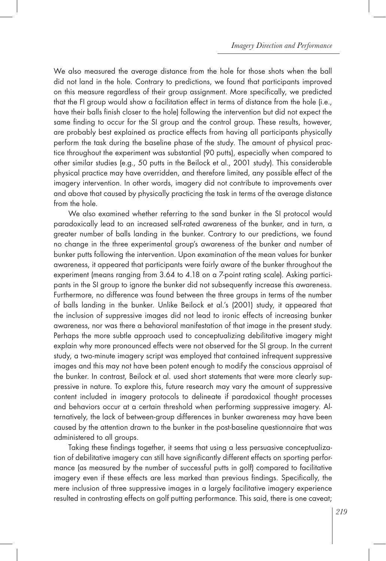We also measured the average distance from the hole for those shots when the ball did not land in the hole. Contrary to predictions, we found that participants improved on this measure regardless of their group assignment. More specifically, we predicted that the FI group would show a facilitation effect in terms of distance from the hole (i.e., have their balls finish closer to the hole) following the intervention but did not expect the same finding to occur for the SI group and the control group. These results, however, are probably best explained as practice effects from having all participants physically perform the task during the baseline phase of the study. The amount of physical practice throughout the experiment was substantial (90 putts), especially when compared to other similar studies (e.g., 50 putts in the Beilock et al., 2001 study). This considerable physical practice may have overridden, and therefore limited, any possible effect of the imagery intervention. In other words, imagery did not contribute to improvements over and above that caused by physically practicing the task in terms of the average distance from the hole.

We also examined whether referring to the sand bunker in the SI protocol would paradoxically lead to an increased self-rated awareness of the bunker, and in turn, a greater number of balls landing in the bunker. Contrary to our predictions, we found no change in the three experimental group's awareness of the bunker and number of bunker putts following the intervention. Upon examination of the mean values for bunker awareness, it appeared that participants were fairly aware of the bunker throughout the experiment (means ranging from 3.64 to 4.18 on a 7-point rating scale). Asking participants in the SI group to ignore the bunker did not subsequently increase this awareness. Furthermore, no difference was found between the three groups in terms of the number of balls landing in the bunker. Unlike Beilock et al.'s (2001) study, it appeared that the inclusion of suppressive images did not lead to ironic effects of increasing bunker awareness, nor was there a behavioral manifestation of that image in the present study. Perhaps the more subtle approach used to conceptualizing debilitative imagery might explain why more pronounced effects were not observed for the SI group. In the current study, a two-minute imagery script was employed that contained infrequent suppressive images and this may not have been potent enough to modify the conscious appraisal of the bunker. In contrast, Beilock et al. used short statements that were more clearly suppressive in nature. To explore this, future research may vary the amount of suppressive content included in imagery protocols to delineate if paradoxical thought processes and behaviors occur at a certain threshold when performing suppressive imagery. Alternatively, the lack of between-group differences in bunker awareness may have been caused by the attention drawn to the bunker in the post-baseline questionnaire that was administered to all groups.

Taking these findings together, it seems that using a less persuasive conceptualization of debilitative imagery can still have significantly different effects on sporting performance (as measured by the number of successful putts in golf) compared to facilitative imagery even if these effects are less marked than previous findings. Specifically, the mere inclusion of three suppressive images in a largely facilitative imagery experience resulted in contrasting effects on golf putting performance. This said, there is one caveat;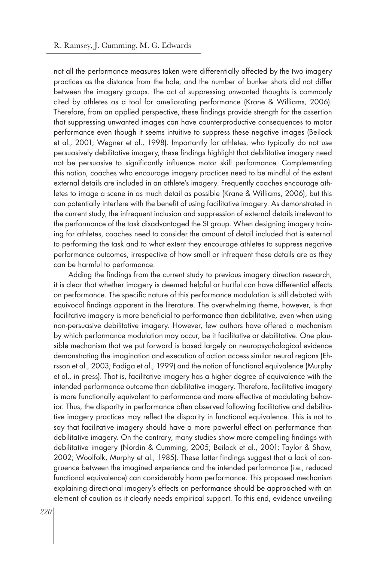not all the performance measures taken were differentially affected by the two imagery practices as the distance from the hole, and the number of bunker shots did not differ between the imagery groups. The act of suppressing unwanted thoughts is commonly cited by athletes as a tool for ameliorating performance (Krane & Williams, 2006). Therefore, from an applied perspective, these findings provide strength for the assertion that suppressing unwanted images can have counterproductive consequences to motor performance even though it seems intuitive to suppress these negative images (Beilock et al., 2001; Wegner et al., 1998). Importantly for athletes, who typically do not use persuasively debilitative imagery, these findings highlight that debilitative imagery need not be persuasive to significantly influence motor skill performance. Complementing this notion, coaches who encourage imagery practices need to be mindful of the extent external details are included in an athlete's imagery. Frequently coaches encourage athletes to image a scene in as much detail as possible (Krane & Williams, 2006), but this can potentially interfere with the benefit of using facilitative imagery. As demonstrated in the current study, the infrequent inclusion and suppression of external details irrelevant to the performance of the task disadvantaged the SI group. When designing imagery training for athletes, coaches need to consider the amount of detail included that is external to performing the task and to what extent they encourage athletes to suppress negative performance outcomes, irrespective of how small or infrequent these details are as they can be harmful to performance.

Adding the findings from the current study to previous imagery direction research, it is clear that whether imagery is deemed helpful or hurtful can have differential effects on performance. The specific nature of this performance modulation is still debated with equivocal findings apparent in the literature. The overwhelming theme, however, is that facilitative imagery is more beneficial to performance than debilitative, even when using non-persuasive debilitative imagery. However, few authors have offered a mechanism by which performance modulation may occur, be it facilitative or debilitative. One plausible mechanism that we put forward is based largely on neuropsychological evidence demonstrating the imagination and execution of action access similar neural regions (Ehrsson et al., 2003; Fadiga et al., 1999) and the notion of functional equivalence (Murphy et al., in press). That is, facilitative imagery has a higher degree of equivalence with the intended performance outcome than debilitative imagery. Therefore, facilitative imagery is more functionally equivalent to performance and more effective at modulating behavior. Thus, the disparity in performance often observed following facilitative and debilitative imagery practices may reflect the disparity in functional equivalence. This is not to say that facilitative imagery should have a more powerful effect on performance than debilitative imagery. On the contrary, many studies show more compelling findings with debilitative imagery (Nordin & Cumming, 2005; Beilock et al., 2001; Taylor & Shaw, 2002; Woolfolk, Murphy et al., 1985). These latter findings suggest that a lack of congruence between the imagined experience and the intended performance (i.e., reduced functional equivalence) can considerably harm performance. This proposed mechanism explaining directional imagery's effects on performance should be approached with an element of caution as it clearly needs empirical support. To this end, evidence unveiling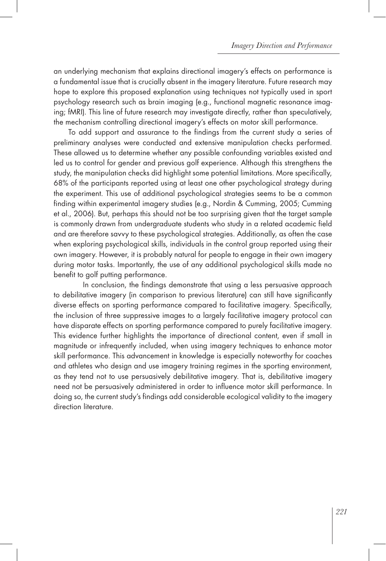an underlying mechanism that explains directional imagery's effects on performance is a fundamental issue that is crucially absent in the imagery literature. Future research may hope to explore this proposed explanation using techniques not typically used in sport psychology research such as brain imaging (e.g., functional magnetic resonance imaging; fMRI). This line of future research may investigate directly, rather than speculatively, the mechanism controlling directional imagery's effects on motor skill performance.

To add support and assurance to the findings from the current study a series of preliminary analyses were conducted and extensive manipulation checks performed. These allowed us to determine whether any possible confounding variables existed and led us to control for gender and previous golf experience. Although this strengthens the study, the manipulation checks did highlight some potential limitations. More specifically, 68% of the participants reported using at least one other psychological strategy during the experiment. This use of additional psychological strategies seems to be a common finding within experimental imagery studies (e.g., Nordin & Cumming, 2005; Cumming et al., 2006). But, perhaps this should not be too surprising given that the target sample is commonly drawn from undergraduate students who study in a related academic field and are therefore savvy to these psychological strategies. Additionally, as often the case when exploring psychological skills, individuals in the control group reported using their own imagery. However, it is probably natural for people to engage in their own imagery during motor tasks. Importantly, the use of any additional psychological skills made no benefit to golf putting performance.

In conclusion, the findings demonstrate that using a less persuasive approach to debilitative imagery (in comparison to previous literature) can still have significantly diverse effects on sporting performance compared to facilitative imagery. Specifically, the inclusion of three suppressive images to a largely facilitative imagery protocol can have disparate effects on sporting performance compared to purely facilitative imagery. This evidence further highlights the importance of directional content, even if small in magnitude or infrequently included, when using imagery techniques to enhance motor skill performance. This advancement in knowledge is especially noteworthy for coaches and athletes who design and use imagery training regimes in the sporting environment, as they tend not to use persuasively debilitative imagery. That is, debilitative imagery need not be persuasively administered in order to influence motor skill performance. In doing so, the current study's findings add considerable ecological validity to the imagery direction literature.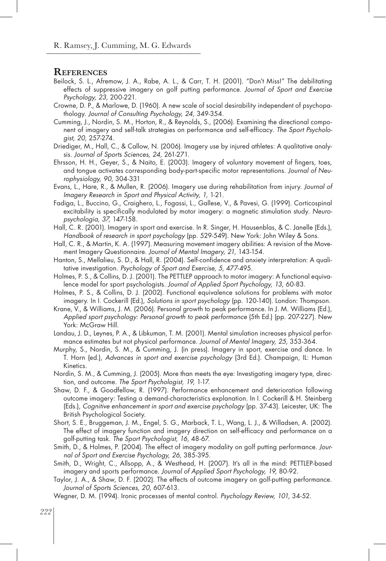#### **REFERENCES**

- Beilock, S. L., Afremow, J. A., Rabe, A. L., & Carr, T. H. (2001). "Don't Miss!" The debilitating effects of suppressive imagery on golf putting performance. Journal of Sport and Exercise Psychology, 23, 200-221.
- Crowne, D. P., & Marlowe, D. (1960). A new scale of social desirability independent of psychopathology. Journal of Consulting Psychology, 24, 349-354.
- Cumming, J., Nordin, S. M., Horton, R., & Reynolds, S., (2006). Examining the directional component of imagery and self-talk strategies on performance and self-efficacy. The Sport Psychologist, 20, 257-274.
- Driediger, M., Hall, C., & Callow, N. (2006). Imagery use by injured athletes: A qualitative analysis. Journal of Sports Sciences, 24, 261-271.
- Ehrsson, H. H., Geyer, S., & Naito, E. (2003). Imagery of voluntary movement of fingers, toes, and tongue activates corresponding body-part-specific motor representations. Journal of Neurophysiology, 90, 304-331
- Evans, L., Hare, R., & Mullen, R. (2006). Imagery use during rehabilitation from injury. Journal of Imagery Research in Sport and Physical Activity, 1, 1-21.
- Fadiga, L., Buccino, G., Craighero, L., Fogassi, L., Gallese, V., & Pavesi, G. (1999). Corticospinal excitability is specifically modulated by motor imagery: a magnetic stimulation study. Neuropsychologia, 37, 147-158.
- Hall, C. R. (2001). Imagery in sport and exercise. In R. Singer, H. Hausenblas, & C. Janelle (Eds.), Handbook of research in sport psychology (pp. 529-549). New York: John Wiley & Sons.
- Hall, C. R., & Martin, K. A. (1997). Measuring movement imagery abilities: A revision of the Movement Imagery Questionnaire. Journal of Mental Imagery, 21, 143-154.
- Hanton, S., Mellalieu, S. D., & Hall, R. (2004). Self-confidence and anxiety interpretation: A qualitative investigation. Psychology of Sport and Exercise, 5, 477-495.
- Holmes, P. S., & Collins, D. J. (2001). The PETTLEP approach to motor imagery: A functional equivalence model for sport psychologists. Journal of Applied Sport Psychology, 13, 60-83.
- Holmes, P. S., & Collins, D. J. (2002). Functional equivalence solutions for problems with motor imagery. In I. Cockerill (Ed.), Solutions in sport psychology (pp. 120-140). London: Thompson.
- Krane, V., & Williams, J. M. (2006). Personal growth to peak performance. In J. M. Williams (Ed.), Applied sport psychology: Personal growth to peak performance (5th Ed.) (pp. 207-227). New York: McGraw Hill.
- Landau, J. D., Leynes, P. A., & Libkuman, T. M. (2001). Mental simulation increases physical performance estimates but not physical performance. Journal of Mental Imagery, 25, 353-364.
- Murphy, S., Nordin, S. M., & Cumming, J. (in press). Imagery in sport, exercise and dance. In T. Horn (ed.), Advances in sport and exercise psychology (3rd Ed.). Champaign, IL: Human Kinetics.
- Nordin, S. M., & Cumming, J. (2005). More than meets the eye: Investigating imagery type, direction, and outcome. The Sport Psychologist, 19, 1-17.
- Shaw, D. F., & Goodfellow, R. (1997). Performance enhancement and deterioration following outcome imagery: Testing a demand-characteristics explanation. In I. Cockerill & H. Steinberg (Eds.), Cognitive enhancement in sport and exercise psychology (pp. 37-43). Leicester, UK: The British Psychological Society.
- Short, S. E., Bruggeman, J. M., Engel, S. G., Marback, T. L., Wang, L. J., & Willadsen, A. (2002). The effect of imagery function and imagery direction on self-efficacy and performance on a golf-putting task. The Sport Psychologist, 16, 48-67.
- Smith, D., & Holmes, P. (2004). The effect of imagery modality on golf putting performance. Journal of Sport and Exercise Psychology, 26, 385-395.
- Smith, D., Wright, C., Allsopp, A., & Westhead, H. (2007). It's all in the mind: PETTLEP-based imagery and sports performance. Journal of Applied Sport Psychology, 19, 80-92.
- Taylor, J. A., & Shaw, D. F. (2002). The effects of outcome imagery on golf-putting performance. Journal of Sports Sciences, 20, 607-613.
- Wegner, D. M. (1994). Ironic processes of mental control. Psychology Review, 101, 34-52.